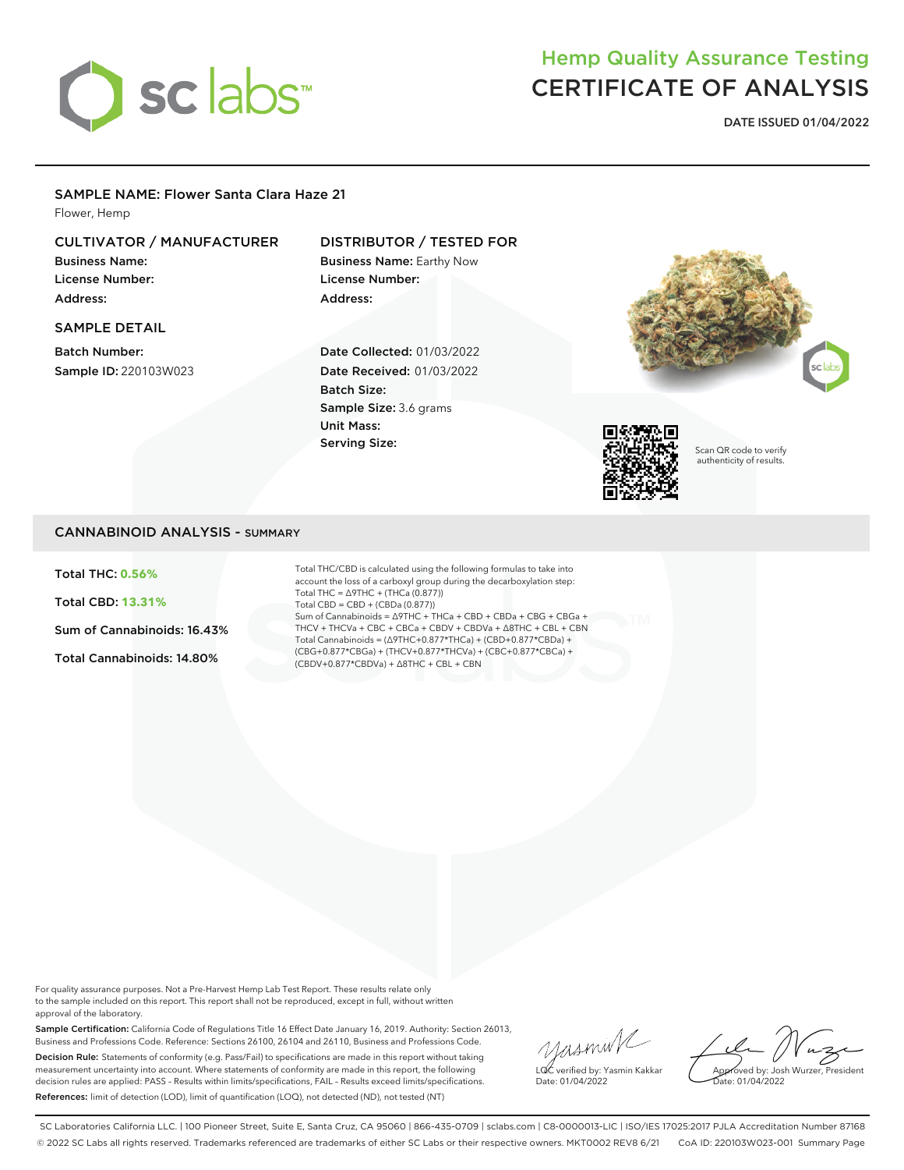

# Hemp Quality Assurance Testing CERTIFICATE OF ANALYSIS

**DATE ISSUED 01/04/2022**

### SAMPLE NAME: Flower Santa Clara Haze 21

Flower, Hemp

## CULTIVATOR / MANUFACTURER

Business Name: License Number: Address:

# SAMPLE DETAIL

Batch Number: Sample ID: 220103W023

## DISTRIBUTOR / TESTED FOR

Business Name: Earthy Now License Number: Address:

Date Collected: 01/03/2022 Date Received: 01/03/2022 Batch Size: Sample Size: 3.6 grams Unit Mass: Serving Size:





Scan QR code to verify authenticity of results.

### CANNABINOID ANALYSIS - SUMMARY

Total THC: **0.56%**

Total CBD: **13.31%**

Sum of Cannabinoids: 16.43%

Total Cannabinoids: 14.80%

Total THC/CBD is calculated using the following formulas to take into account the loss of a carboxyl group during the decarboxylation step: Total THC = ∆9THC + (THCa (0.877)) Total CBD = CBD + (CBDa (0.877)) Sum of Cannabinoids = ∆9THC + THCa + CBD + CBDa + CBG + CBGa + THCV + THCVa + CBC + CBCa + CBDV + CBDVa + ∆8THC + CBL + CBN Total Cannabinoids = (∆9THC+0.877\*THCa) + (CBD+0.877\*CBDa) + (CBG+0.877\*CBGa) + (THCV+0.877\*THCVa) + (CBC+0.877\*CBCa) + (CBDV+0.877\*CBDVa) + ∆8THC + CBL + CBN

For quality assurance purposes. Not a Pre-Harvest Hemp Lab Test Report. These results relate only to the sample included on this report. This report shall not be reproduced, except in full, without written approval of the laboratory.

Sample Certification: California Code of Regulations Title 16 Effect Date January 16, 2019. Authority: Section 26013, Business and Professions Code. Reference: Sections 26100, 26104 and 26110, Business and Professions Code. Decision Rule: Statements of conformity (e.g. Pass/Fail) to specifications are made in this report without taking measurement uncertainty into account. Where statements of conformity are made in this report, the following decision rules are applied: PASS – Results within limits/specifications, FAIL – Results exceed limits/specifications. References: limit of detection (LOD), limit of quantification (LOQ), not detected (ND), not tested (NT)

yusmink LQC verified by: Yasmin Kakkar Date: 01/04/2022

Approved by: Josh Wurzer, President Date: 01/04/2022

SC Laboratories California LLC. | 100 Pioneer Street, Suite E, Santa Cruz, CA 95060 | 866-435-0709 | sclabs.com | C8-0000013-LIC | ISO/IES 17025:2017 PJLA Accreditation Number 87168 © 2022 SC Labs all rights reserved. Trademarks referenced are trademarks of either SC Labs or their respective owners. MKT0002 REV8 6/21 CoA ID: 220103W023-001 Summary Page